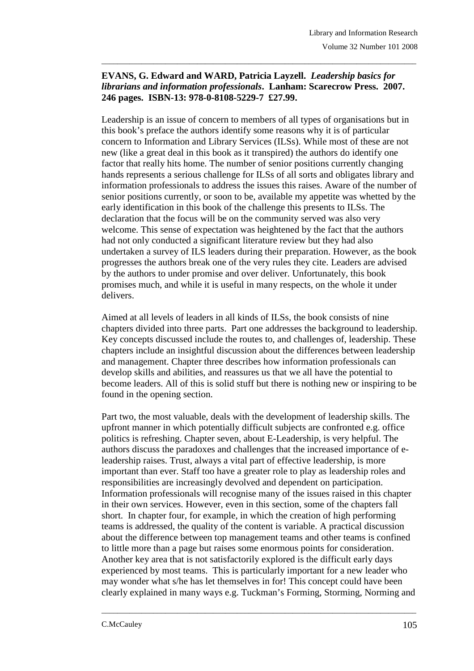## **EVANS, G. Edward and WARD, Patricia Layzell.** *Leadership basics for librarians and information professionals***. Lanham: Scarecrow Press. 2007. 246 pages. ISBN-13: 978-0-8108-5229-7 £27.99.**

\_\_\_\_\_\_\_\_\_\_\_\_\_\_\_\_\_\_\_\_\_\_\_\_\_\_\_\_\_\_\_\_\_\_\_\_\_\_\_\_\_\_\_\_\_\_\_\_\_\_\_\_\_\_\_\_\_\_\_\_\_\_\_\_\_\_\_\_\_\_\_\_\_\_\_\_\_\_\_

Leadership is an issue of concern to members of all types of organisations but in this book's preface the authors identify some reasons why it is of particular concern to Information and Library Services (ILSs). While most of these are not new (like a great deal in this book as it transpired) the authors do identify one factor that really hits home. The number of senior positions currently changing hands represents a serious challenge for ILSs of all sorts and obligates library and information professionals to address the issues this raises. Aware of the number of senior positions currently, or soon to be, available my appetite was whetted by the early identification in this book of the challenge this presents to ILSs. The declaration that the focus will be on the community served was also very welcome. This sense of expectation was heightened by the fact that the authors had not only conducted a significant literature review but they had also undertaken a survey of ILS leaders during their preparation. However, as the book progresses the authors break one of the very rules they cite. Leaders are advised by the authors to under promise and over deliver. Unfortunately, this book promises much, and while it is useful in many respects, on the whole it under delivers.

Aimed at all levels of leaders in all kinds of ILSs, the book consists of nine chapters divided into three parts. Part one addresses the background to leadership. Key concepts discussed include the routes to, and challenges of, leadership. These chapters include an insightful discussion about the differences between leadership and management. Chapter three describes how information professionals can develop skills and abilities, and reassures us that we all have the potential to become leaders. All of this is solid stuff but there is nothing new or inspiring to be found in the opening section.

Part two, the most valuable, deals with the development of leadership skills. The upfront manner in which potentially difficult subjects are confronted e.g. office politics is refreshing. Chapter seven, about E-Leadership, is very helpful. The authors discuss the paradoxes and challenges that the increased importance of eleadership raises. Trust, always a vital part of effective leadership, is more important than ever. Staff too have a greater role to play as leadership roles and responsibilities are increasingly devolved and dependent on participation. Information professionals will recognise many of the issues raised in this chapter in their own services. However, even in this section, some of the chapters fall short. In chapter four, for example, in which the creation of high performing teams is addressed, the quality of the content is variable. A practical discussion about the difference between top management teams and other teams is confined to little more than a page but raises some enormous points for consideration. Another key area that is not satisfactorily explored is the difficult early days experienced by most teams. This is particularly important for a new leader who may wonder what s/he has let themselves in for! This concept could have been clearly explained in many ways e.g. Tuckman's Forming, Storming, Norming and

\_\_\_\_\_\_\_\_\_\_\_\_\_\_\_\_\_\_\_\_\_\_\_\_\_\_\_\_\_\_\_\_\_\_\_\_\_\_\_\_\_\_\_\_\_\_\_\_\_\_\_\_\_\_\_\_\_\_\_\_\_\_\_\_\_\_\_\_\_\_\_\_\_\_\_\_\_\_\_